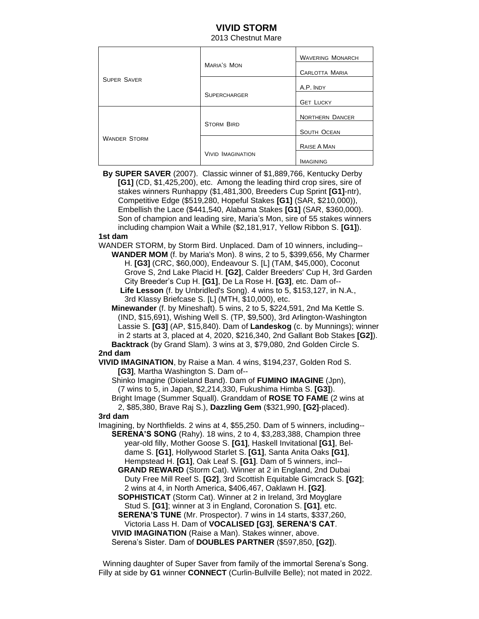## **VIVID STORM**

2013 Chestnut Mare

| <b>SUPER SAVER</b>  | <b>MARIA'S MON</b>       | <b>WAVERING MONARCH</b> |
|---------------------|--------------------------|-------------------------|
|                     |                          | <b>CARLOTTA MARIA</b>   |
|                     | <b>SUPERCHARGER</b>      | A.P. INDY               |
|                     |                          | <b>GET LUCKY</b>        |
| <b>WANDER STORM</b> | <b>STORM BIRD</b>        | <b>NORTHERN DANCER</b>  |
|                     |                          | <b>SOUTH OCEAN</b>      |
|                     | <b>VIVID IMAGINATION</b> | RAISE A MAN             |
|                     |                          | <b>IMAGINING</b>        |

**By SUPER SAVER** (2007). Classic winner of \$1,889,766, Kentucky Derby **[G1]** (CD, \$1,425,200), etc. Among the leading third crop sires, sire of stakes winners Runhappy (\$1,481,300, Breeders Cup Sprint **[G1]**-ntr), Competitive Edge (\$519,280, Hopeful Stakes **[G1]** (SAR, \$210,000)), Embellish the Lace (\$441,540, Alabama Stakes **[G1]** (SAR, \$360,000). Son of champion and leading sire, Maria's Mon, sire of 55 stakes winners including champion Wait a While (\$2,181,917, Yellow Ribbon S. **[G1]**).

## **1st dam**

WANDER STORM, by Storm Bird. Unplaced. Dam of 10 winners, including--  **WANDER MOM** (f. by Maria's Mon). 8 wins, 2 to 5, \$399,656, My Charmer H. **[G3]** (CRC, \$60,000), Endeavour S. [L] (TAM, \$45,000), Coconut Grove S, 2nd Lake Placid H. **[G2]**, Calder Breeders' Cup H, 3rd Garden City Breeder's Cup H. **[G1]**, De La Rose H. **[G3]**, etc. Dam of--

 **Life Lesson** (f. by Unbridled's Song). 4 wins to 5, \$153,127, in N.A., 3rd Klassy Briefcase S. [L] (MTH, \$10,000), etc.

 **Minewander** (f. by Mineshaft). 5 wins, 2 to 5, \$224,591, 2nd Ma Kettle S. (IND, \$15,691), Wishing Well S. (TP, \$9,500), 3rd Arlington-Washington Lassie S. **[G3]** (AP, \$15,840). Dam of **Landeskog** (c. by Munnings); winner in 2 starts at 3, placed at 4, 2020, \$216,340, 2nd Gallant Bob Stakes **[G2]**).  **Backtrack** (by Grand Slam). 3 wins at 3, \$79,080, 2nd Golden Circle S.

## **2nd dam**

**VIVID IMAGINATION**, by Raise a Man. 4 wins, \$194,237, Golden Rod S. **[G3]**, Martha Washington S. Dam of--

 Shinko Imagine (Dixieland Band). Dam of **FUMINO IMAGINE** (Jpn), (7 wins to 5, in Japan, \$2,214,330, Fukushima Himba S. **[G3]**). Bright Image (Summer Squall). Granddam of **ROSE TO FAME** (2 wins at

2, \$85,380, Brave Raj S.), **Dazzling Gem** (\$321,990, **[G2]**-placed).

**3rd dam**

Imagining, by Northfields. 2 wins at 4, \$55,250. Dam of 5 winners, including-- **SERENA'S SONG** (Rahy). 18 wins, 2 to 4, \$3,283,388, Champion three year-old filly, Mother Goose S. **[G1]**, Haskell Invitational **[G1]**, Bel dame S. **[G1]**, Hollywood Starlet S. **[G1]**, Santa Anita Oaks **[G1]**, Hempstead H. **[G1]**, Oak Leaf S. **[G1]**. Dam of 5 winners, incl--

 **GRAND REWARD** (Storm Cat). Winner at 2 in England, 2nd Dubai Duty Free Mill Reef S. **[G2]**, 3rd Scottish Equitable Gimcrack S. **[G2]**; 2 wins at 4, in North America, \$406,467, Oaklawn H. **[G2]**.

 **SOPHISTICAT** (Storm Cat). Winner at 2 in Ireland, 3rd Moyglare Stud S. **[G1]**; winner at 3 in England, Coronation S. **[G1]**, etc.

 **SERENA'S TUNE** (Mr. Prospector). 7 wins in 14 starts, \$337,260, Victoria Lass H. Dam of **VOCALISED [G3]**, **SERENA'S CAT**. **VIVID IMAGINATION** (Raise a Man). Stakes winner, above.

Serena's Sister. Dam of **DOUBLES PARTNER** (\$597,850, **[G2]**).

Winning daughter of Super Saver from family of the immortal Serena's Song. Filly at side by **G1** winner **CONNECT** (Curlin-Bullville Belle); not mated in 2022.